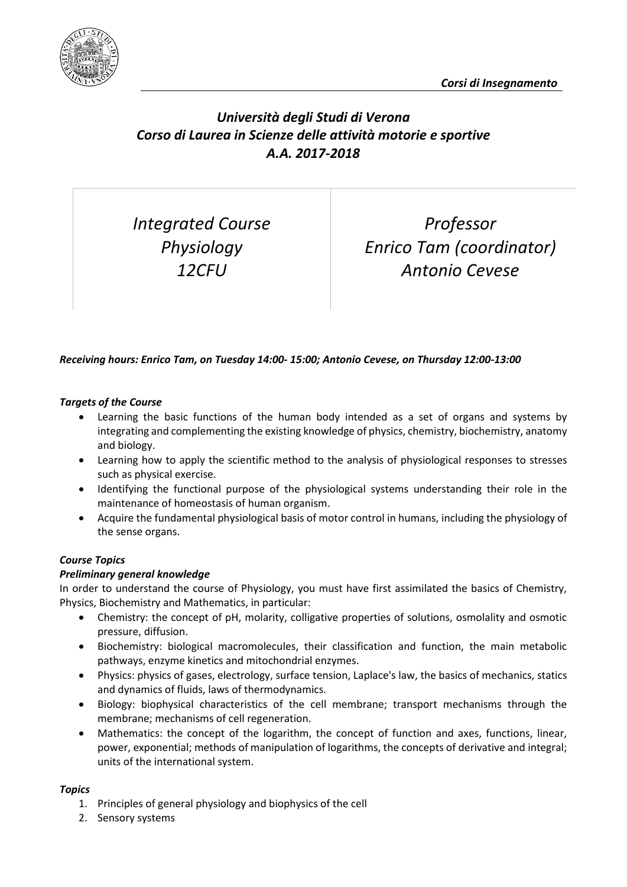

# *Università degli Studi di Verona Corso di Laurea in Scienze delle attività motorie e sportive A.A. 2017-2018*

*Integrated Course Physiology 12CFU*

*Professor Enrico Tam (coordinator) Antonio Cevese*

# *Receiving hours: Enrico Tam, on Tuesday 14:00- 15:00; Antonio Cevese, on Thursday 12:00-13:00*

#### *Targets of the Course*

- Learning the basic functions of the human body intended as a set of organs and systems by integrating and complementing the existing knowledge of physics, chemistry, biochemistry, anatomy and biology.
- Learning how to apply the scientific method to the analysis of physiological responses to stresses such as physical exercise.
- Identifying the functional purpose of the physiological systems understanding their role in the maintenance of homeostasis of human organism.
- Acquire the fundamental physiological basis of motor control in humans, including the physiology of the sense organs.

#### *Course Topics*

## *Preliminary general knowledge*

In order to understand the course of Physiology, you must have first assimilated the basics of Chemistry, Physics, Biochemistry and Mathematics, in particular:

- Chemistry: the concept of pH, molarity, colligative properties of solutions, osmolality and osmotic pressure, diffusion.
- Biochemistry: biological macromolecules, their classification and function, the main metabolic pathways, enzyme kinetics and mitochondrial enzymes.
- Physics: physics of gases, electrology, surface tension, Laplace's law, the basics of mechanics, statics and dynamics of fluids, laws of thermodynamics.
- Biology: biophysical characteristics of the cell membrane; transport mechanisms through the membrane; mechanisms of cell regeneration.
- Mathematics: the concept of the logarithm, the concept of function and axes, functions, linear, power, exponential; methods of manipulation of logarithms, the concepts of derivative and integral; units of the international system.

#### *Topics*

- 1. Principles of general physiology and biophysics of the cell
- 2. Sensory systems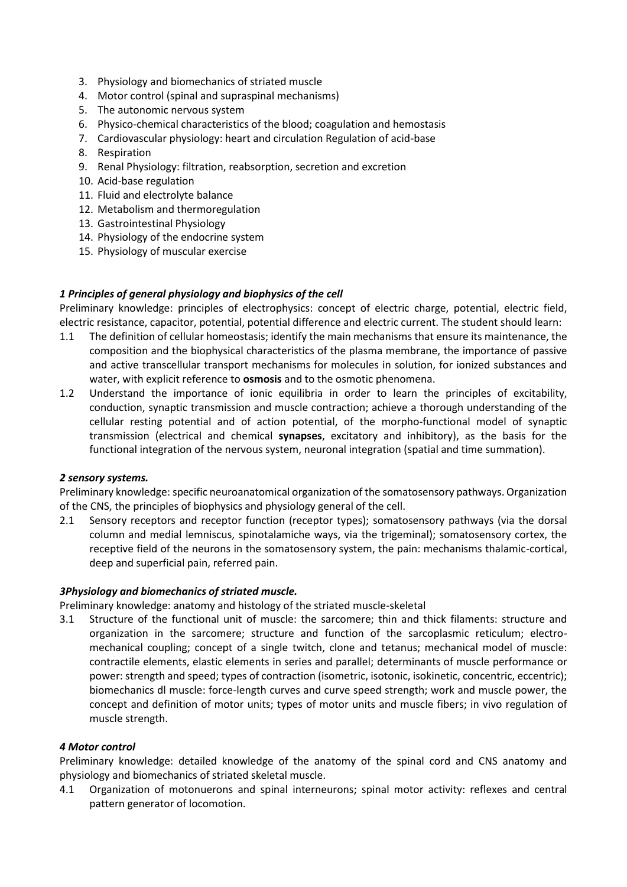- 3. Physiology and biomechanics of striated muscle
- 4. Motor control (spinal and supraspinal mechanisms)
- 5. The autonomic nervous system
- 6. Physico-chemical characteristics of the blood; coagulation and hemostasis
- 7. Cardiovascular physiology: heart and circulation Regulation of acid-base
- 8. Respiration
- 9. Renal Physiology: filtration, reabsorption, secretion and excretion
- 10. Acid-base regulation
- 11. Fluid and electrolyte balance
- 12. Metabolism and thermoregulation
- 13. Gastrointestinal Physiology
- 14. Physiology of the endocrine system
- 15. Physiology of muscular exercise

#### *1 Principles of general physiology and biophysics of the cell*

Preliminary knowledge: principles of electrophysics: concept of electric charge, potential, electric field, electric resistance, capacitor, potential, potential difference and electric current. The student should learn:

- 1.1 The definition of cellular homeostasis; identify the main mechanisms that ensure its maintenance, the composition and the biophysical characteristics of the plasma membrane, the importance of passive and active transcellular transport mechanisms for molecules in solution, for ionized substances and water, with explicit reference to **osmosis** and to the osmotic phenomena.
- 1.2 Understand the importance of ionic equilibria in order to learn the principles of excitability, conduction, synaptic transmission and muscle contraction; achieve a thorough understanding of the cellular resting potential and of action potential, of the morpho-functional model of synaptic transmission (electrical and chemical **synapses**, excitatory and inhibitory), as the basis for the functional integration of the nervous system, neuronal integration (spatial and time summation).

#### *2 sensory systems.*

Preliminary knowledge: specific neuroanatomical organization of the somatosensory pathways. Organization of the CNS, the principles of biophysics and physiology general of the cell.

2.1 Sensory receptors and receptor function (receptor types); somatosensory pathways (via the dorsal column and medial lemniscus, spinotalamiche ways, via the trigeminal); somatosensory cortex, the receptive field of the neurons in the somatosensory system, the pain: mechanisms thalamic-cortical, deep and superficial pain, referred pain.

#### *3Physiology and biomechanics of striated muscle.*

Preliminary knowledge: anatomy and histology of the striated muscle-skeletal

3.1 Structure of the functional unit of muscle: the sarcomere; thin and thick filaments: structure and organization in the sarcomere; structure and function of the sarcoplasmic reticulum; electromechanical coupling; concept of a single twitch, clone and tetanus; mechanical model of muscle: contractile elements, elastic elements in series and parallel; determinants of muscle performance or power: strength and speed; types of contraction (isometric, isotonic, isokinetic, concentric, eccentric); biomechanics dl muscle: force-length curves and curve speed strength; work and muscle power, the concept and definition of motor units; types of motor units and muscle fibers; in vivo regulation of muscle strength.

#### *4 Motor control*

Preliminary knowledge: detailed knowledge of the anatomy of the spinal cord and CNS anatomy and physiology and biomechanics of striated skeletal muscle.

4.1 Organization of motonuerons and spinal interneurons; spinal motor activity: reflexes and central pattern generator of locomotion.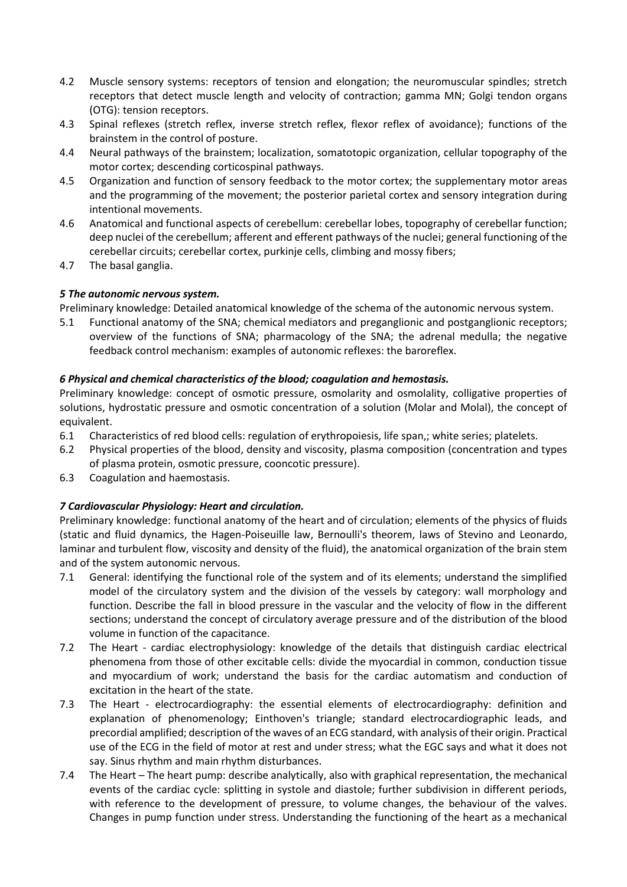- 4.2 Muscle sensory systems: receptors of tension and elongation; the neuromuscular spindles; stretch receptors that detect muscle length and velocity of contraction; gamma MN; Golgi tendon organs (OTG): tension receptors.
- 4.3 Spinal reflexes (stretch reflex, inverse stretch reflex, flexor reflex of avoidance); functions of the brainstem in the control of posture.
- 4.4 Neural pathways of the brainstem; localization, somatotopic organization, cellular topography of the motor cortex; descending corticospinal pathways.
- 4.5 Organization and function of sensory feedback to the motor cortex; the supplementary motor areas and the programming of the movement; the posterior parietal cortex and sensory integration during intentional movements.
- 4.6 Anatomical and functional aspects of cerebellum: cerebellar lobes, topography of cerebellar function; deep nuclei of the cerebellum; afferent and efferent pathways of the nuclei; general functioning of the cerebellar circuits; cerebellar cortex, purkinje cells, climbing and mossy fibers;
- 4.7 The basal ganglia.

## *5 The autonomic nervous system.*

Preliminary knowledge: Detailed anatomical knowledge of the schema of the autonomic nervous system.

5.1 Functional anatomy of the SNA; chemical mediators and preganglionic and postganglionic receptors; overview of the functions of SNA; pharmacology of the SNA; the adrenal medulla; the negative feedback control mechanism: examples of autonomic reflexes: the baroreflex.

# *6 Physical and chemical characteristics of the blood; coagulation and hemostasis.*

Preliminary knowledge: concept of osmotic pressure, osmolarity and osmolality, colligative properties of solutions, hydrostatic pressure and osmotic concentration of a solution (Molar and Molal), the concept of equivalent.

- 6.1 Characteristics of red blood cells: regulation of erythropoiesis, life span,; white series; platelets.
- 6.2 Physical properties of the blood, density and viscosity, plasma composition (concentration and types of plasma protein, osmotic pressure, cooncotic pressure).
- 6.3 Coagulation and haemostasis.

## *7 Cardiovascular Physiology: Heart and circulation.*

Preliminary knowledge: functional anatomy of the heart and of circulation; elements of the physics of fluids (static and fluid dynamics, the Hagen-Poiseuille law, Bernoulli's theorem, laws of Stevino and Leonardo, laminar and turbulent flow, viscosity and density of the fluid), the anatomical organization of the brain stem and of the system autonomic nervous.

- 7.1 General: identifying the functional role of the system and of its elements; understand the simplified model of the circulatory system and the division of the vessels by category: wall morphology and function. Describe the fall in blood pressure in the vascular and the velocity of flow in the different sections; understand the concept of circulatory average pressure and of the distribution of the blood volume in function of the capacitance.
- 7.2 The Heart cardiac electrophysiology: knowledge of the details that distinguish cardiac electrical phenomena from those of other excitable cells: divide the myocardial in common, conduction tissue and myocardium of work; understand the basis for the cardiac automatism and conduction of excitation in the heart of the state.
- 7.3 The Heart electrocardiography: the essential elements of electrocardiography: definition and explanation of phenomenology; Einthoven's triangle; standard electrocardiographic leads, and precordial amplified; description of the waves of an ECG standard, with analysis of their origin. Practical use of the ECG in the field of motor at rest and under stress; what the EGC says and what it does not say. Sinus rhythm and main rhythm disturbances.
- 7.4 The Heart The heart pump: describe analytically, also with graphical representation, the mechanical events of the cardiac cycle: splitting in systole and diastole; further subdivision in different periods, with reference to the development of pressure, to volume changes, the behaviour of the valves. Changes in pump function under stress. Understanding the functioning of the heart as a mechanical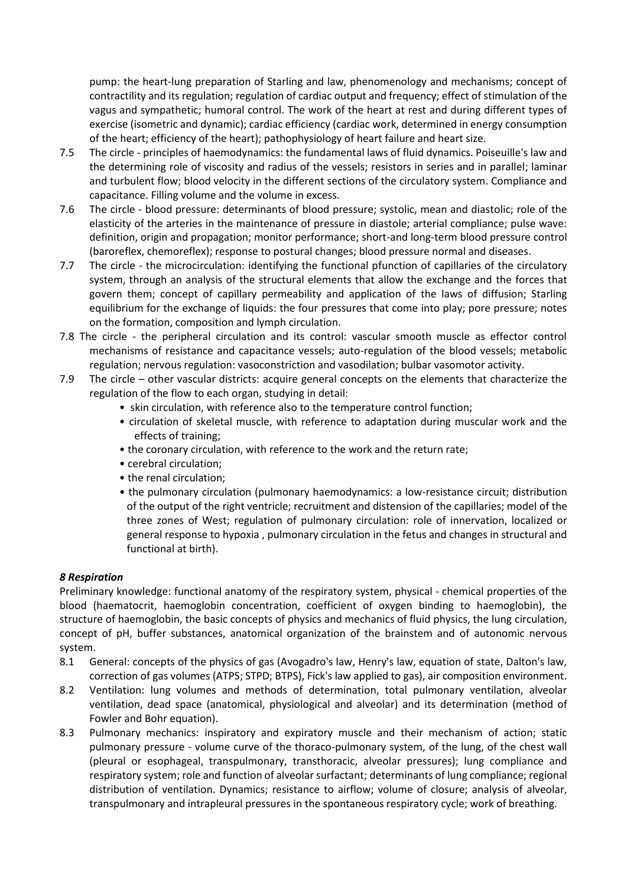pump: the heart-lung preparation of Starling and law, phenomenology and mechanisms; concept of contractility and its regulation; regulation of cardiac output and frequency; effect of stimulation of the vagus and sympathetic; humoral control. The work of the heart at rest and during different types of exercise (isometric and dynamic); cardiac efficiency (cardiac work, determined in energy consumption of the heart; efficiency of the heart); pathophysiology of heart failure and heart size.

- 7.5 The circle principles of haemodynamics: the fundamental laws of fluid dynamics. Poiseuille's law and the determining role of viscosity and radius of the vessels; resistors in series and in parallel; laminar and turbulent flow; blood velocity in the different sections of the circulatory system. Compliance and capacitance. Filling volume and the volume in excess.
- 7.6 The circle blood pressure: determinants of blood pressure; systolic, mean and diastolic; role of the elasticity of the arteries in the maintenance of pressure in diastole; arterial compliance; pulse wave: definition, origin and propagation; monitor performance; short-and long-term blood pressure control (baroreflex, chemoreflex); response to postural changes; blood pressure normal and diseases.
- 7.7 The circle the microcirculation: identifying the functional pfunction of capillaries of the circulatory system, through an analysis of the structural elements that allow the exchange and the forces that govern them; concept of capillary permeability and application of the laws of diffusion; Starling equilibrium for the exchange of liquids: the four pressures that come into play; pore pressure; notes on the formation, composition and lymph circulation.
- 7.8 The circle the peripheral circulation and its control: vascular smooth muscle as effector control mechanisms of resistance and capacitance vessels; auto-regulation of the blood vessels; metabolic regulation; nervous regulation: vasoconstriction and vasodilation; bulbar vasomotor activity.
- 7.9 The circle other vascular districts: acquire general concepts on the elements that characterize the regulation of the flow to each organ, studying in detail:
	- skin circulation, with reference also to the temperature control function;
	- circulation of skeletal muscle, with reference to adaptation during muscular work and the effects of training;
	- the coronary circulation, with reference to the work and the return rate;
	- cerebral circulation;
	- the renal circulation;
	- the pulmonary circulation (pulmonary haemodynamics: a low-resistance circuit; distribution of the output of the right ventricle; recruitment and distension of the capillaries; model of the three zones of West; regulation of pulmonary circulation: role of innervation, localized or general response to hypoxia , pulmonary circulation in the fetus and changes in structural and functional at birth).

## *8 Respiration*

Preliminary knowledge: functional anatomy of the respiratory system, physical - chemical properties of the blood (haematocrit, haemoglobin concentration, coefficient of oxygen binding to haemoglobin), the structure of haemoglobin, the basic concepts of physics and mechanics of fluid physics, the lung circulation, concept of pH, buffer substances, anatomical organization of the brainstem and of autonomic nervous system.

- 8.1 General: concepts of the physics of gas (Avogadro's law, Henry's law, equation of state, Dalton's law, correction of gas volumes (ATPS; STPD; BTPS), Fick's law applied to gas), air composition environment.
- 8.2 Ventilation: lung volumes and methods of determination, total pulmonary ventilation, alveolar ventilation, dead space (anatomical, physiological and alveolar) and its determination (method of Fowler and Bohr equation).
- 8.3 Pulmonary mechanics: inspiratory and expiratory muscle and their mechanism of action; static pulmonary pressure - volume curve of the thoraco-pulmonary system, of the lung, of the chest wall (pleural or esophageal, transpulmonary, transthoracic, alveolar pressures); lung compliance and respiratory system; role and function of alveolar surfactant; determinants of lung compliance; regional distribution of ventilation. Dynamics; resistance to airflow; volume of closure; analysis of alveolar, transpulmonary and intrapleural pressures in the spontaneous respiratory cycle; work of breathing.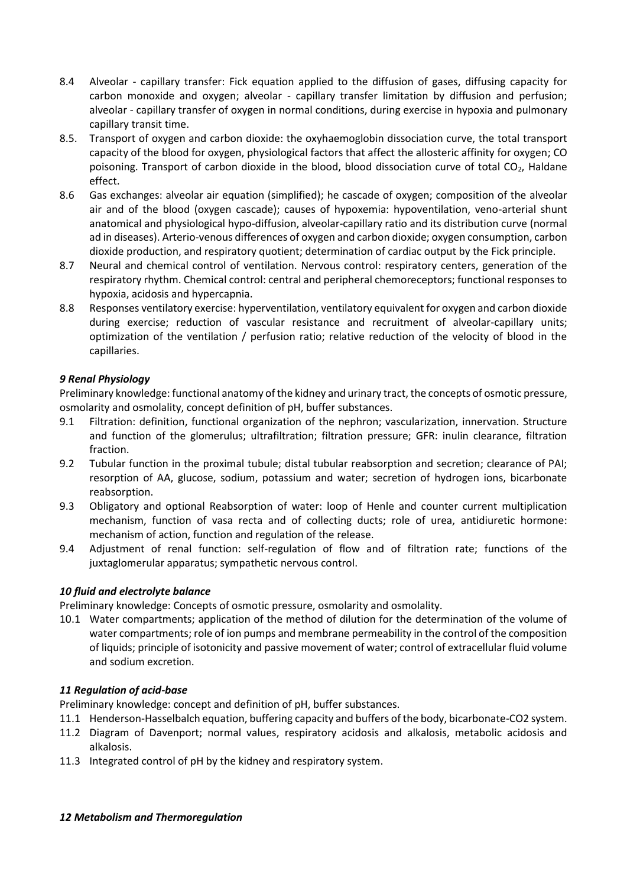- 8.4 Alveolar capillary transfer: Fick equation applied to the diffusion of gases, diffusing capacity for carbon monoxide and oxygen; alveolar - capillary transfer limitation by diffusion and perfusion; alveolar - capillary transfer of oxygen in normal conditions, during exercise in hypoxia and pulmonary capillary transit time.
- 8.5. Transport of oxygen and carbon dioxide: the oxyhaemoglobin dissociation curve, the total transport capacity of the blood for oxygen, physiological factors that affect the allosteric affinity for oxygen; CO poisoning. Transport of carbon dioxide in the blood, blood dissociation curve of total  $CO<sub>2</sub>$ , Haldane effect.
- 8.6 Gas exchanges: alveolar air equation (simplified); he cascade of oxygen; composition of the alveolar air and of the blood (oxygen cascade); causes of hypoxemia: hypoventilation, veno-arterial shunt anatomical and physiological hypo-diffusion, alveolar-capillary ratio and its distribution curve (normal ad in diseases). Arterio-venous differences of oxygen and carbon dioxide; oxygen consumption, carbon dioxide production, and respiratory quotient; determination of cardiac output by the Fick principle.
- 8.7 Neural and chemical control of ventilation. Nervous control: respiratory centers, generation of the respiratory rhythm. Chemical control: central and peripheral chemoreceptors; functional responses to hypoxia, acidosis and hypercapnia.
- 8.8 Responses ventilatory exercise: hyperventilation, ventilatory equivalent for oxygen and carbon dioxide during exercise; reduction of vascular resistance and recruitment of alveolar-capillary units; optimization of the ventilation / perfusion ratio; relative reduction of the velocity of blood in the capillaries.

# *9 Renal Physiology*

Preliminary knowledge: functional anatomy of the kidney and urinary tract, the concepts of osmotic pressure, osmolarity and osmolality, concept definition of pH, buffer substances.

- 9.1 Filtration: definition, functional organization of the nephron; vascularization, innervation. Structure and function of the glomerulus; ultrafiltration; filtration pressure; GFR: inulin clearance, filtration fraction.
- 9.2 Tubular function in the proximal tubule; distal tubular reabsorption and secretion; clearance of PAI; resorption of AA, glucose, sodium, potassium and water; secretion of hydrogen ions, bicarbonate reabsorption.
- 9.3 Obligatory and optional Reabsorption of water: loop of Henle and counter current multiplication mechanism, function of vasa recta and of collecting ducts; role of urea, antidiuretic hormone: mechanism of action, function and regulation of the release.
- 9.4 Adjustment of renal function: self-regulation of flow and of filtration rate; functions of the juxtaglomerular apparatus; sympathetic nervous control.

## *10 fluid and electrolyte balance*

Preliminary knowledge: Concepts of osmotic pressure, osmolarity and osmolality.

10.1 Water compartments; application of the method of dilution for the determination of the volume of water compartments; role of ion pumps and membrane permeability in the control of the composition of liquids; principle of isotonicity and passive movement of water; control of extracellular fluid volume and sodium excretion.

## *11 Regulation of acid-base*

Preliminary knowledge: concept and definition of pH, buffer substances.

- 11.1 Henderson-Hasselbalch equation, buffering capacity and buffers of the body, bicarbonate-CO2 system.
- 11.2 Diagram of Davenport; normal values, respiratory acidosis and alkalosis, metabolic acidosis and alkalosis.
- 11.3 Integrated control of pH by the kidney and respiratory system.

#### *12 Metabolism and Thermoregulation*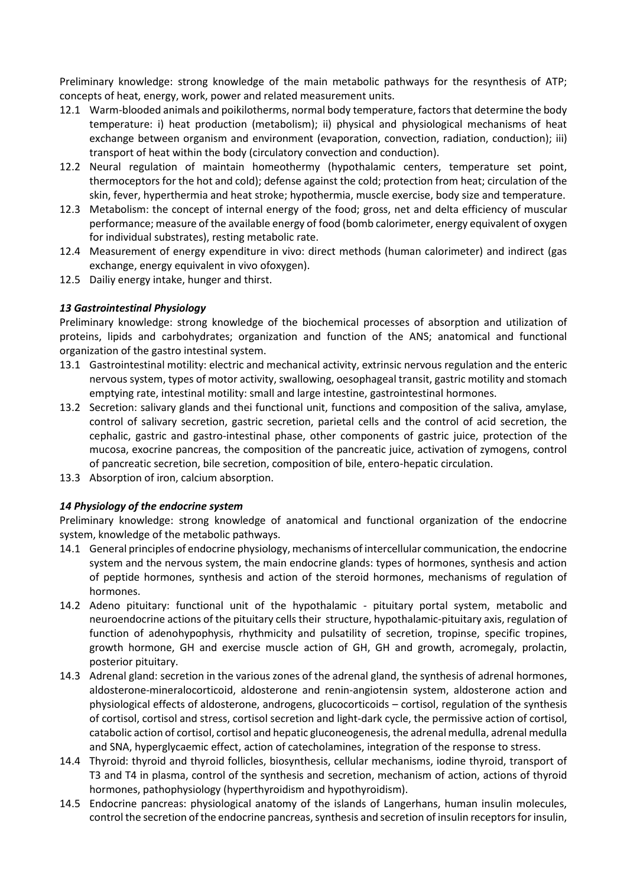Preliminary knowledge: strong knowledge of the main metabolic pathways for the resynthesis of ATP; concepts of heat, energy, work, power and related measurement units.

- 12.1 Warm-blooded animals and poikilotherms, normal body temperature, factors that determine the body temperature: i) heat production (metabolism); ii) physical and physiological mechanisms of heat exchange between organism and environment (evaporation, convection, radiation, conduction); iii) transport of heat within the body (circulatory convection and conduction).
- 12.2 Neural regulation of maintain homeothermy (hypothalamic centers, temperature set point, thermoceptors for the hot and cold); defense against the cold; protection from heat; circulation of the skin, fever, hyperthermia and heat stroke; hypothermia, muscle exercise, body size and temperature.
- 12.3 Metabolism: the concept of internal energy of the food; gross, net and delta efficiency of muscular performance; measure of the available energy of food (bomb calorimeter, energy equivalent of oxygen for individual substrates), resting metabolic rate.
- 12.4 Measurement of energy expenditure in vivo: direct methods (human calorimeter) and indirect (gas exchange, energy equivalent in vivo ofoxygen).
- 12.5 Dailiy energy intake, hunger and thirst.

#### *13 Gastrointestinal Physiology*

Preliminary knowledge: strong knowledge of the biochemical processes of absorption and utilization of proteins, lipids and carbohydrates; organization and function of the ANS; anatomical and functional organization of the gastro intestinal system.

- 13.1 Gastrointestinal motility: electric and mechanical activity, extrinsic nervous regulation and the enteric nervous system, types of motor activity, swallowing, oesophageal transit, gastric motility and stomach emptying rate, intestinal motility: small and large intestine, gastrointestinal hormones.
- 13.2 Secretion: salivary glands and thei functional unit, functions and composition of the saliva, amylase, control of salivary secretion, gastric secretion, parietal cells and the control of acid secretion, the cephalic, gastric and gastro-intestinal phase, other components of gastric juice, protection of the mucosa, exocrine pancreas, the composition of the pancreatic juice, activation of zymogens, control of pancreatic secretion, bile secretion, composition of bile, entero-hepatic circulation.
- 13.3 Absorption of iron, calcium absorption.

#### *14 Physiology of the endocrine system*

Preliminary knowledge: strong knowledge of anatomical and functional organization of the endocrine system, knowledge of the metabolic pathways.

- 14.1 General principles of endocrine physiology, mechanisms of intercellular communication, the endocrine system and the nervous system, the main endocrine glands: types of hormones, synthesis and action of peptide hormones, synthesis and action of the steroid hormones, mechanisms of regulation of hormones.
- 14.2 Adeno pituitary: functional unit of the hypothalamic pituitary portal system, metabolic and neuroendocrine actions of the pituitary cells their structure, hypothalamic-pituitary axis, regulation of function of adenohypophysis, rhythmicity and pulsatility of secretion, tropinse, specific tropines, growth hormone, GH and exercise muscle action of GH, GH and growth, acromegaly, prolactin, posterior pituitary.
- 14.3 Adrenal gland: secretion in the various zones of the adrenal gland, the synthesis of adrenal hormones, aldosterone-mineralocorticoid, aldosterone and renin-angiotensin system, aldosterone action and physiological effects of aldosterone, androgens, glucocorticoids – cortisol, regulation of the synthesis of cortisol, cortisol and stress, cortisol secretion and light-dark cycle, the permissive action of cortisol, catabolic action of cortisol, cortisol and hepatic gluconeogenesis, the adrenal medulla, adrenal medulla and SNA, hyperglycaemic effect, action of catecholamines, integration of the response to stress.
- 14.4 Thyroid: thyroid and thyroid follicles, biosynthesis, cellular mechanisms, iodine thyroid, transport of T3 and T4 in plasma, control of the synthesis and secretion, mechanism of action, actions of thyroid hormones, pathophysiology (hyperthyroidism and hypothyroidism).
- 14.5 Endocrine pancreas: physiological anatomy of the islands of Langerhans, human insulin molecules, control the secretion of the endocrine pancreas, synthesis and secretion of insulin receptors for insulin,